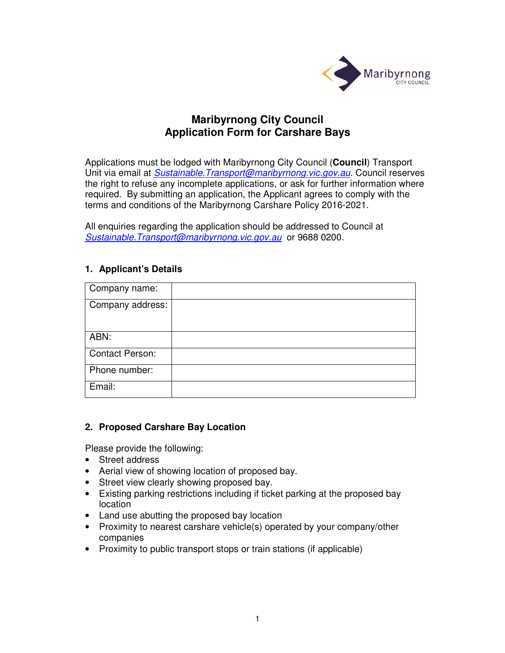

# **Maribyrnong City Council Application Form for Carshare Bays**

Applications must be lodged with Maribyrnong City Council (**Council**) Transport Unit via email at Sustainable. Transport@maribyrnong.vic.gov.au. Council reserves the right to refuse any incomplete applications, or ask for further information where required. By submitting an application, the Applicant agrees to comply with the terms and conditions of the Maribyrnong Carshare Policy 2016-2021.

All enquiries regarding the application should be addressed to Council at Sustainable.Transport@maribyrnong.vic.gov.au or 9688 0200.

#### **1. Applicant's Details**

| Company name:          |  |
|------------------------|--|
| Company address:       |  |
|                        |  |
| ABN:                   |  |
| <b>Contact Person:</b> |  |
| Phone number:          |  |
| Email:                 |  |

#### **2. Proposed Carshare Bay Location**

Please provide the following:

- Street address
- Aerial view of showing location of proposed bay.
- Street view clearly showing proposed bay.
- Existing parking restrictions including if ticket parking at the proposed bay location
- Land use abutting the proposed bay location
- Proximity to nearest carshare vehicle(s) operated by your company/other companies
- Proximity to public transport stops or train stations (if applicable)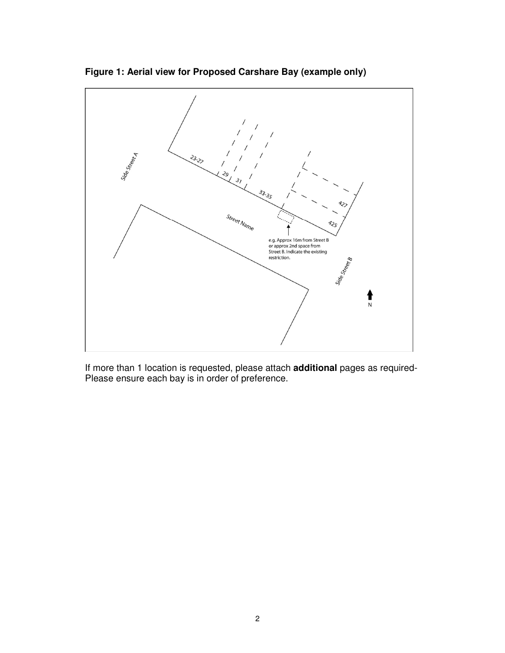

**Figure 1: Aerial view for Proposed Carshare Bay (example only)** 

If more than 1 location is requested, please attach **additional** pages as required-Please ensure each bay is in order of preference.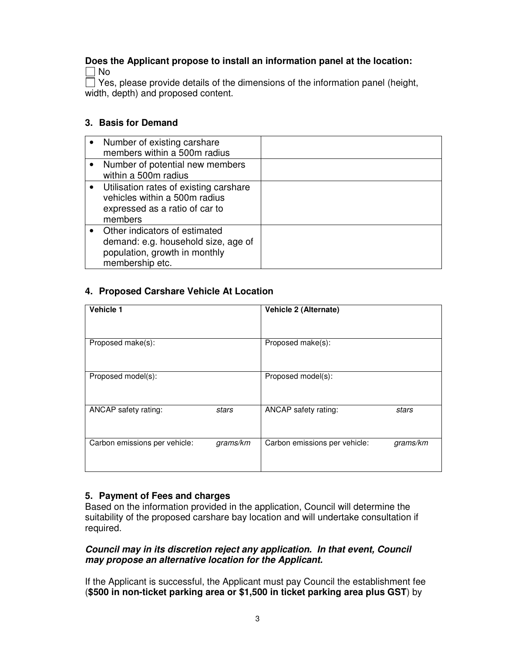#### **Does the Applicant propose to install an information panel at the location:**   $\Box$  No

 Yes, please provide details of the dimensions of the information panel (height, width, depth) and proposed content.

### **3. Basis for Demand**

|           | Number of existing carshare<br>members within a 500m radius                                                              |  |
|-----------|--------------------------------------------------------------------------------------------------------------------------|--|
|           | • Number of potential new members<br>within a 500m radius                                                                |  |
| $\bullet$ | Utilisation rates of existing carshare<br>vehicles within a 500m radius<br>expressed as a ratio of car to<br>members     |  |
|           | Other indicators of estimated<br>demand: e.g. household size, age of<br>population, growth in monthly<br>membership etc. |  |

## **4. Proposed Carshare Vehicle At Location**

| Vehicle 1                     |          | <b>Vehicle 2 (Alternate)</b>  |          |
|-------------------------------|----------|-------------------------------|----------|
| Proposed make(s):             |          | Proposed make(s):             |          |
| Proposed model(s):            |          | Proposed model(s):            |          |
| ANCAP safety rating:          | stars    | ANCAP safety rating:          | stars    |
| Carbon emissions per vehicle: | grams/km | Carbon emissions per vehicle: | grams/km |

# **5. Payment of Fees and charges**

Based on the information provided in the application, Council will determine the suitability of the proposed carshare bay location and will undertake consultation if required.

#### **Council may in its discretion reject any application. In that event, Council may propose an alternative location for the Applicant.**

If the Applicant is successful, the Applicant must pay Council the establishment fee (**\$500 in non-ticket parking area or \$1,500 in ticket parking area plus GST**) by